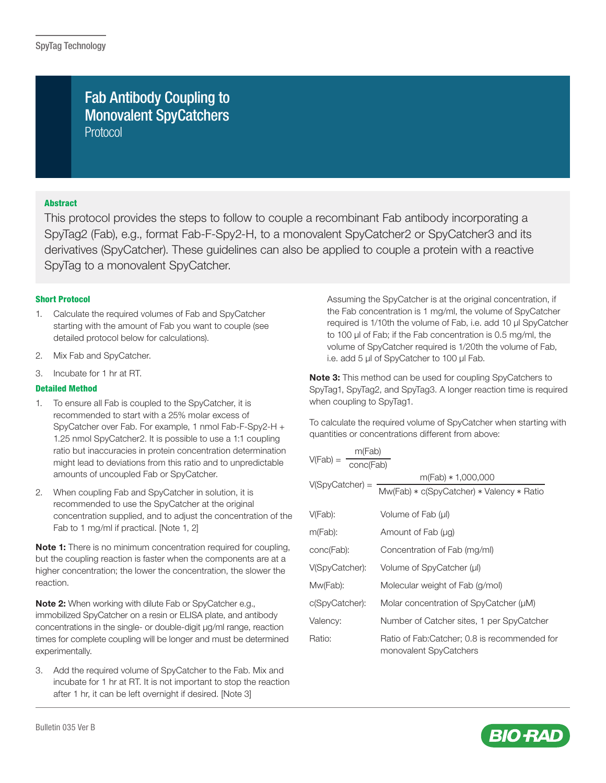# Fab Antibody Coupling to Monovalent SpyCatchers Protocol

# Abstract

This protocol provides the steps to follow to couple a recombinant Fab antibody incorporating a SpyTag2 (Fab), e.g., format Fab-F-Spy2-H, to a monovalent SpyCatcher2 or SpyCatcher3 and its derivatives (SpyCatcher). These guidelines can also be applied to couple a protein with a reactive SpyTag to a monovalent SpyCatcher.

# Short Protocol

- 1. Calculate the required volumes of Fab and SpyCatcher starting with the amount of Fab you want to couple (see detailed protocol below for calculations).
- 2. Mix Fab and SpyCatcher.
- 3. Incubate for 1 hr at RT.

## Detailed Method

- 1. To ensure all Fab is coupled to the SpyCatcher, it is recommended to start with a 25% molar excess of SpyCatcher over Fab. For example, 1 nmol Fab-F-Spy2-H + 1.25 nmol SpyCatcher2. It is possible to use a 1:1 coupling ratio but inaccuracies in protein concentration determination might lead to deviations from this ratio and to unpredictable amounts of uncoupled Fab or SpyCatcher.
- 2. When coupling Fab and SpyCatcher in solution, it is recommended to use the SpyCatcher at the original concentration supplied, and to adjust the concentration of the Fab to 1 mg/ml if practical. [Note 1, 2]

Note 1: There is no minimum concentration required for coupling, but the coupling reaction is faster when the components are at a higher concentration; the lower the concentration, the slower the reaction.

Note 2: When working with dilute Fab or SpyCatcher e.g., immobilized SpyCatcher on a resin or ELISA plate, and antibody concentrations in the single- or double-digit μg/ml range, reaction times for complete coupling will be longer and must be determined experimentally.

3. Add the required volume of SpyCatcher to the Fab. Mix and incubate for 1 hr at RT. It is not important to stop the reaction after 1 hr, it can be left overnight if desired. [Note 3]

Assuming the SpyCatcher is at the original concentration, if the Fab concentration is 1 mg/ml, the volume of SpyCatcher required is 1/10th the volume of Fab, i.e. add 10 μl SpyCatcher to 100 μl of Fab; if the Fab concentration is 0.5 mg/ml, the volume of SpyCatcher required is 1/20th the volume of Fab, i.e. add 5 μl of SpyCatcher to 100 μl Fab.

Note 3: This method can be used for coupling SpyCatchers to SpyTag1, SpyTag2, and SpyTag3. A longer reaction time is required when coupling to SpyTag1.

To calculate the required volume of SpyCatcher when starting with quantities or concentrations different from above:

| m(Fab)                  |                                                                        |  |  |
|-------------------------|------------------------------------------------------------------------|--|--|
| $V(Fab) =$<br>conc(Fab) |                                                                        |  |  |
|                         | $m(Fab) * 1,000,000$                                                   |  |  |
| $V(SpyCatcher) =$       | Mw(Fab) * c(SpyCatcher) * Valency * Ratio                              |  |  |
| $V(Fab)$ :              | Volume of Fab (µl)                                                     |  |  |
|                         |                                                                        |  |  |
| $m(Fab)$ :              | Amount of Fab (µg)                                                     |  |  |
| conc(Fab):              | Concentration of Fab (mg/ml)                                           |  |  |
| V(SpyCatcher):          | Volume of SpyCatcher (µl)                                              |  |  |
| Mw(Fab):                | Molecular weight of Fab (g/mol)                                        |  |  |
| c(SpyCatcher):          | Molar concentration of SpyCatcher (µM)                                 |  |  |
| Valency:                | Number of Catcher sites, 1 per SpyCatcher                              |  |  |
| Ratio:                  | Ratio of Fab:Catcher; 0.8 is recommended for<br>monovalent SpyCatchers |  |  |